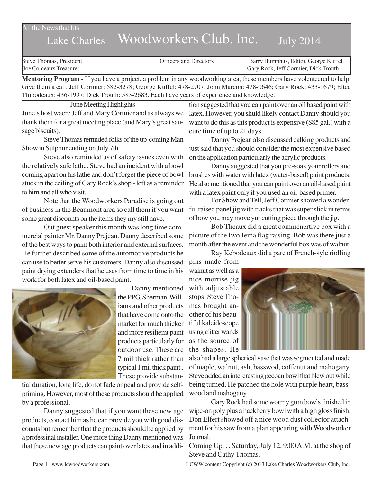All the News that fits

# Lake Charles Woodworkers Club, Inc. July 2014

| Steve Thomas, President | <b>Officers and Directors</b> | Barry Humphus, Editor, George Kuffel |
|-------------------------|-------------------------------|--------------------------------------|
| Joe Comeaux Treasurer   |                               | Gary Rock, Jeff Cormier, Dick Trouth |

**Mentoring Program** - If you have a project, a problem in any woodworking area, these members have volenteered to help. Give them a call. Jeff Cormier: 582-3278; George Kuffel: 478-2707; John Marcon: 478-0646; Gary Rock: 433-1679; Eltee Thibodeaux: 436-1997; Dick Trouth: 583-2683. Each have years of experience and knowledge.

June Meeting Highlights June's host waere Jeff and Mary Cormier and as always we thank them for a great meeting place (and Mary's great sausage biscuits).

Steve Thomas remnded folks of the up-coming Man Show in Sulphur ending on July 7th.

Steve also reminded us of safety issues even with the relatively safe lathe. Steve had an incident with a bowl coming apart on his lathe and don't forget the piece of bowl stuck in the ceiling of Gary Rock's shop - left as a reminder to him and all who visit.

Note that the Woodworkers Paradise is going out of business in the Beaumont area so call them if you want some great discounts on the items they my still have.

Out guest speaker this month was long time commercial painter Mr. Danny Prejean. Danny described some of the best ways to paint both interior and external surfaces. He further described some of the automotive products he can use to better serve his customers. Danny also discussed paint drying extenders that he uses from time to time in his work for both latex and oil-based paint.



Danny mentioned the PPG, Sherman-Williams and other products that have come onto the market for much thicker and more resiliemt paint products particularly for outdoor use. These are 7 mil thick rather than typical 1 mil thick paint.. These provide substan-

tial duration, long life, do not fade or peal and provide selfpriming. However, most of these products should be applied by a professional.

Danny suggested that if you want these new age products, contact him as he can provide you with good discounts but remember that the products should be applied by a professinal installer. One more thing Danny mentioned was that these new age products can paint over latex and in addi-

tion suggested that you can paint over an oil based paint with latex. However, you shuld likely contact Danny should you want to do this as this product is expensive (\$85 gal.) with a cure time of up to 21 days.

Danny Prejean also discussed calking products and just said that you should consider the most expensive based on the application particularly the acrylic products.

Danny suggested that you pre-soak your rollers and brushes with water with latex (water-based) paint products. He also mentioned that you can paint over an oil-based paint with a latex paint only if you used an oil-based primer.

For Show and Tell, Jeff Cormier showed a wonderful raised panel jig with tracks that was super slick in terms of how you may move yur cutting piece through the jig.

Bob Theaux did a great commenertive box with a picture of the Iwo Jema flag raising. Bob was there just a month after the event and the wonderful box was of walnut.

Ray Kebodeaux did a pare of French-syle riolling

pins made from walnut as well as a nice mortise jig with adjustable stops. Steve Thomas brought another of his beautiful kaleidoscope using glitter wands as the source of the shapes. He



also had a large spherical vase that was segmented and made of maple, walnut, ash, basswod, coffenut and mahogany. Steve added an intereresting pecoan bowl that blew out while being turned. He patched the hole with purple heart, basswood and mahogany.

Gary Rock had some wormy gum bowls finished in wipe-on poly plus a hackberry bowl with a high gloss finish. Don Elfert showed off a nice wood dust collector attachment for his saw from a plan appearing with Woodworker Journal.

Coming Up. . . Saturday, July 12, 9:00 A.M. at the shop of Steve and Cathy Thomas.

Page 1 www.lcwoodworkers.com LCWW content Copyright (c) 2013 Lake Charles Woodworkers Club, Inc.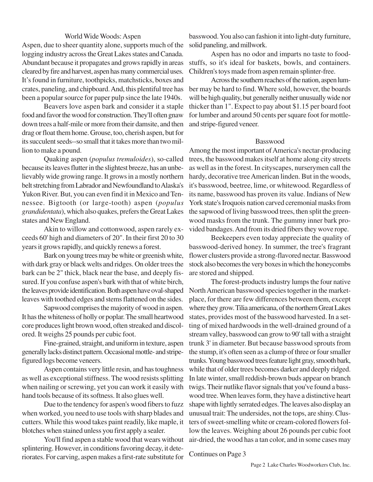### World Wide Woods: Aspen

Aspen, due to sheer quantity alone, supports much of the logging industry across the Great Lakes states and Canada. Abundant because it propagates and grows rapidly in areas cleared by fire and harvest, aspen has many commercial uses. It's found in furniture, toothpicks, matchsticks, boxes and crates, paneling, and chipboard. And, this plentiful tree has been a popular source for paper pulp since the late 1940s.

Beavers love aspen bark and consider it a staple food and favor the wood for construction. They'll often gnaw down trees a half-mile or more from their damsite, and then drag or float them home. Grouse, too, cherish aspen, but for its succulent seeds--so small that it takes more than two million to make a pound.

Quaking aspen (*populus tremuloides*), so-called because its leaves flutter in the slightest breeze, has an unbelievably wide growing range. It grows in a mostly northern belt stretching from Labrador and Newfoundland to Alaska's Yukon River. But, you can even find it in Mexico and Tennessee. Bigtooth (or large-tooth) aspen (*populus grandidentata*), which also quakes, prefers the Great Lakes states and New England.

Akin to willow and cottonwood, aspen rarely exceeds 60' high and diameters of 20". In their first 20 to 30 years it grows rapidly, and quickly renews a forest.

Bark on young trees may be white or greenish white, with dark gray or black welts and ridges. On older trees the bark can be 2" thick, black near the base, and deeply fissured. If you confuse aspen's bark with that of white birch, the leaves provide identification. Both aspen have oval-shaped leaves with toothed edges and stems flattened on the sides.

Sapwood comprises the majority of wood in aspen. It has the whiteness of holly or poplar. The small heartwood core produces light brown wood, often streaked and discolored. It weighs 25 pounds per cubic foot.

Fine-grained, straight, and uniform in texture, aspen generally lacks distinct pattern. Occasional mottle- and stripefigured logs become veneers.

Aspen contains very little resin, and has toughness as well as exceptional stiffness. The wood resists splitting when nailing or screwing, yet you can work it easily with hand tools because of its softness. It also glues well.

Due to the tendency for aspen's wood fibers to fuzz when worked, you need to use tools with sharp blades and cutters. While this wood takes paint readily, like maple, it blotches when stained unless you first apply a sealer.

You'll find aspen a stable wood that wears without splintering. However, in conditions favoring decay, it deteriorates. For carving, aspen makes a first-rate substitute for

basswood. You also can fashion it into light-duty furniture, solid paneling, and millwork.

Aspen has no odor and imparts no taste to foodstuffs, so it's ideal for baskets, bowls, and containers. Children's toys made from aspen remain splinter-free.

Across the southern reaches of the nation, aspen lumber may be hard to find. Where sold, however, the boards will be high quality, but generally neither unusually wide nor thicker than 1". Expect to pay about \$1.15 per board foot for lumber and around 50 cents per square foot for mottleand stripe-figured veneer.

#### Basswood

Among the most important of America's nectar-producing trees, the basswood makes itself at home along city streets as well as in the forest. In cityscapes, nurserymen call the hardy, decorative tree American linden. But in the woods, it's basswood, beetree, lime, or whitewood. Regardless of its name, basswood has proven its value. Indians of New York state's Iroquois nation carved ceremonial masks from the sapwood of living basswood trees, then split the greenwood masks from the trunk. The gummy inner bark provided bandages. And from its dried fibers they wove rope.

Beekeepers even today appreciate the quality of basswood-derived honey. In summer, the tree's fragrant flower clusters provide a strong-flavored nectar. Basswood stock also becomes the very boxes in which the honeycombs are stored and shipped.

The forest-products industry lumps the four native North American basswood species together in the marketplace, for there are few differences between them, except where they grow. Tilia americana, of the northern Great Lakes states, provides most of the basswood harvested. In a setting of mixed hardwoods in the well-drained ground of a stream valley, basswood can grow to 90' tall with a straight trunk 3' in diameter. But because basswood sprouts from the stump, it's often seen as a clump of three or four smaller trunks. Young basswood trees feature light gray, smooth bark, while that of older trees becomes darker and deeply ridged. In late winter, small reddish-brown buds appear on branch twigs. Their nutlike flavor signals that you've found a basswood tree. When leaves form, they have a distinctive heart shape with lightly serrated edges. The leaves also display an unusual trait: The undersides, not the tops, are shiny. Clusters of sweet-smelling white or cream-colored flowers follow the leaves. Weighing about 26 pounds per cubic foot air-dried, the wood has a tan color, and in some cases may

Continues on Page 3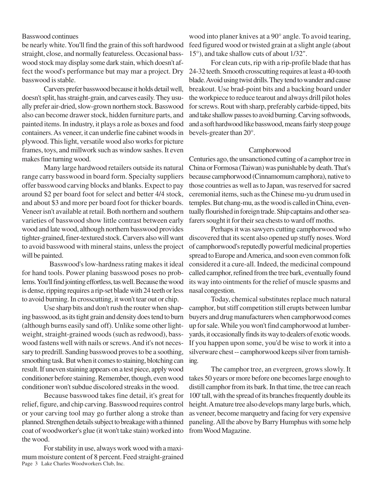#### Basswood continues

be nearly white. You'll find the grain of this soft hardwood straight, close, and normally featureless. Occasional basswood stock may display some dark stain, which doesn't affect the wood's performance but may mar a project. Dry basswood is stable.

Carvers prefer basswood because it holds detail well, doesn't split, has straight-grain, and carves easily. They usually prefer air-dried, slow-grown northern stock. Basswood also can become drawer stock, hidden furniture parts, and painted items. In industry, it plays a role as boxes and food containers. As veneer, it can underlie fine cabinet woods in plywood. This light, versatile wood also works for picture frames, toys, and millwork such as window sashes. It even makes fine turning wood.

Many large hardwood retailers outside its natural range carry basswood in board form. Specialty suppliers offer basswood carving blocks and blanks. Expect to pay around \$2 per board foot for select and better 4/4 stock, and about \$3 and more per board foot for thicker boards. Veneer isn't available at retail. Both northern and southern varieties of basswood show little contrast between early wood and late wood, although northern basswood provides tighter-grained, finer-textured stock. Carvers also will want to avoid basswood with mineral stains, unless the project will be painted.

 Basswood's low-hardness rating makes it ideal for hand tools. Power planing basswood poses no problems. You'll find jointing effortless, tas well. Because the wood is dense, ripping requires a rip-set blade with 24 teeth or less to avoid burning. In crosscutting, it won't tear out or chip.

Use sharp bits and don't rush the router when shaping basswood, as its tight grain and density does tend to burn (although burns easily sand off). Unlike some other lightweight, straight-grained woods (such as redwood), basswood fastens well with nails or screws. And it's not necessary to predrill. Sanding basswood proves to be a soothing, smoothing task. But when it comes to staining, blotching can result. If uneven staining appears on a test piece, apply wood conditioner before staining. Remember, though, even wood conditioner won't subdue discolored streaks in the wood.

Because basswood takes fine detail, it's great for relief, figure, and chip carving. Basswood requires control or your carving tool may go further along a stroke than planned. Strengthen details subject to breakage with a thinned coat of woodworker's glue (it won't take stain) worked into the wood.

Page 3 Lake Charles Woodworkers Club, Inc. For stability in use, always work wood with a maximum moisture content of 8 percent. Feed straight-grained wood into planer knives at a 90° angle. To avoid tearing, feed figured wood or twisted grain at a slight angle (about 15°), and take shallow cuts of about 1/32".

For clean cuts, rip with a rip-profile blade that has 24-32 teeth. Smooth crosscutting requires at least a 40-tooth blade. Avoid using twist drills. They tend to wander and cause breakout. Use brad-point bits and a backing board under the workpiece to reduce tearout and always drill pilot holes for screws. Rout with sharp, preferably carbide-tipped, bits and take shallow passes to avoid burning. Carving softwoods, and a soft hardwood like basswood, means fairly steep gouge bevels-greater than 20°.

#### Camphorwood

Centuries ago, the unsanctioned cutting of a camphor tree in China or Formosa (Taiwan) was punishable by death. That's because camphorwood (Cinnamomum camphora), native to those countries as well as to Japan, was reserved for sacred ceremonial items, such as the Chinese mu-yu drum used in temples. But chang-mu, as the wood is called in China, eventually flourished in foreign trade. Ship captains and other seafarers sought it for their sea chests to ward off moths.

Perhaps it was sawyers cutting camphorwood who discovered that its scent also opened up stuffy noses. Word of camphorwood's reputedly powerful medicinal properties spread to Europe and America, and soon even common folk considered it a cure-all. Indeed, the medicinal compound called camphor, refined from the tree bark, eventually found its way into ointments for the relief of muscle spasms and nasal congestion.

Today, chemical substitutes replace much natural camphor, but stiff competition still erupts between lumbar buyers and drug manufacturers when camphorwood comes up for sale. While you won't find camphorwood at lumberyards, it occasionally finds its way to dealers of exotic woods. If you happen upon some, you'd be wise to work it into a silverware chest -- camphorwood keeps silver from tarnishing.

The camphor tree, an evergreen, grows slowly. It takes 50 years or more before one becomes large enough to distill camphor from its bark. In that time, the tree can reach 100' tall, with the spread of its branches frequently double its height. A mature tree also develops many large burls, which, as veneer, become marquetry and facing for very expensive paneling. All the above by Barry Humphus with some help from Wood Magazine.